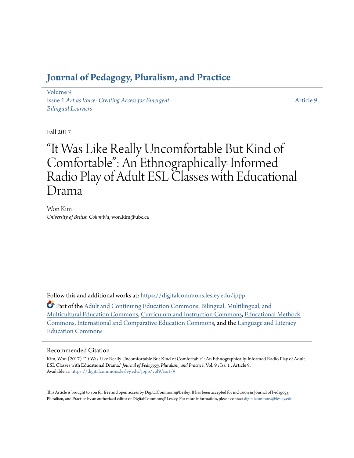## **[Journal of Pedagogy, Pluralism, and Practice](https://digitalcommons.lesley.edu/jppp?utm_source=digitalcommons.lesley.edu%2Fjppp%2Fvol9%2Fiss1%2F9&utm_medium=PDF&utm_campaign=PDFCoverPages)**

[Volume 9](https://digitalcommons.lesley.edu/jppp/vol9?utm_source=digitalcommons.lesley.edu%2Fjppp%2Fvol9%2Fiss1%2F9&utm_medium=PDF&utm_campaign=PDFCoverPages) Issue 1 *[Art as Voice: Creating Access for Emergent](https://digitalcommons.lesley.edu/jppp/vol9/iss1?utm_source=digitalcommons.lesley.edu%2Fjppp%2Fvol9%2Fiss1%2F9&utm_medium=PDF&utm_campaign=PDFCoverPages) [Bilingual Learners](https://digitalcommons.lesley.edu/jppp/vol9/iss1?utm_source=digitalcommons.lesley.edu%2Fjppp%2Fvol9%2Fiss1%2F9&utm_medium=PDF&utm_campaign=PDFCoverPages)*

[Article 9](https://digitalcommons.lesley.edu/jppp/vol9/iss1/9?utm_source=digitalcommons.lesley.edu%2Fjppp%2Fvol9%2Fiss1%2F9&utm_medium=PDF&utm_campaign=PDFCoverPages)

#### Fall 2017

# "It Was Like Really Uncomfortable But Kind of Comfortable": An Ethnographically-Informed Radio Play of Adult ESL Classes with Educational Drama

Won Kim *University of British Columbia*, won.kim@ubc.ca

Follow this and additional works at: [https://digitalcommons.lesley.edu/jppp](https://digitalcommons.lesley.edu/jppp?utm_source=digitalcommons.lesley.edu%2Fjppp%2Fvol9%2Fiss1%2F9&utm_medium=PDF&utm_campaign=PDFCoverPages)

Part of the [Adult and Continuing Education Commons](http://network.bepress.com/hgg/discipline/1375?utm_source=digitalcommons.lesley.edu%2Fjppp%2Fvol9%2Fiss1%2F9&utm_medium=PDF&utm_campaign=PDFCoverPages), [Bilingual, Multilingual, and](http://network.bepress.com/hgg/discipline/785?utm_source=digitalcommons.lesley.edu%2Fjppp%2Fvol9%2Fiss1%2F9&utm_medium=PDF&utm_campaign=PDFCoverPages) [Multicultural Education Commons](http://network.bepress.com/hgg/discipline/785?utm_source=digitalcommons.lesley.edu%2Fjppp%2Fvol9%2Fiss1%2F9&utm_medium=PDF&utm_campaign=PDFCoverPages), [Curriculum and Instruction Commons](http://network.bepress.com/hgg/discipline/786?utm_source=digitalcommons.lesley.edu%2Fjppp%2Fvol9%2Fiss1%2F9&utm_medium=PDF&utm_campaign=PDFCoverPages), [Educational Methods](http://network.bepress.com/hgg/discipline/1227?utm_source=digitalcommons.lesley.edu%2Fjppp%2Fvol9%2Fiss1%2F9&utm_medium=PDF&utm_campaign=PDFCoverPages) [Commons,](http://network.bepress.com/hgg/discipline/1227?utm_source=digitalcommons.lesley.edu%2Fjppp%2Fvol9%2Fiss1%2F9&utm_medium=PDF&utm_campaign=PDFCoverPages) [International and Comparative Education Commons](http://network.bepress.com/hgg/discipline/797?utm_source=digitalcommons.lesley.edu%2Fjppp%2Fvol9%2Fiss1%2F9&utm_medium=PDF&utm_campaign=PDFCoverPages), and the [Language and Literacy](http://network.bepress.com/hgg/discipline/1380?utm_source=digitalcommons.lesley.edu%2Fjppp%2Fvol9%2Fiss1%2F9&utm_medium=PDF&utm_campaign=PDFCoverPages) [Education Commons](http://network.bepress.com/hgg/discipline/1380?utm_source=digitalcommons.lesley.edu%2Fjppp%2Fvol9%2Fiss1%2F9&utm_medium=PDF&utm_campaign=PDFCoverPages)

#### Recommended Citation

Kim, Won (2017) ""It Was Like Really Uncomfortable But Kind of Comfortable": An Ethnographically-Informed Radio Play of Adult ESL Classes with Educational Drama," *Journal of Pedagogy, Pluralism, and Practice*: Vol. 9 : Iss. 1 , Article 9. Available at: [https://digitalcommons.lesley.edu/jppp/vol9/iss1/9](https://digitalcommons.lesley.edu/jppp/vol9/iss1/9?utm_source=digitalcommons.lesley.edu%2Fjppp%2Fvol9%2Fiss1%2F9&utm_medium=PDF&utm_campaign=PDFCoverPages)

This Article is brought to you for free and open access by DigitalCommons@Lesley. It has been accepted for inclusion in Journal of Pedagogy, Pluralism, and Practice by an authorized editor of DigitalCommons@Lesley. For more information, please contact [digitalcommons@lesley.edu](mailto:digitalcommons@lesley.edu).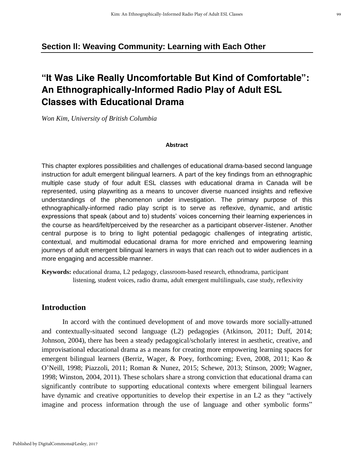## **Section ll: Weaving Community: Learning with Each Other**

## **"It Was Like Really Uncomfortable But Kind of Comfortable": An Ethnographically-Informed Radio Play of Adult ESL Classes with Educational Drama**

*Won Kim, University of British Columbia*

#### **Abstract**

This chapter explores possibilities and challenges of educational drama-based second language instruction for adult emergent bilingual learners. A part of the key findings from an ethnographic multiple case study of four adult ESL classes with educational drama in Canada will be represented, using playwriting as a means to uncover diverse nuanced insights and reflexive understandings of the phenomenon under investigation. The primary purpose of this ethnographically-informed radio play script is to serve as reflexive, dynamic, and artistic expressions that speak (about and to) students' voices concerning their learning experiences in the course as heard/felt/perceived by the researcher as a participant observer-listener. Another central purpose is to bring to light potential pedagogic challenges of integrating artistic, contextual, and multimodal educational drama for more enriched and empowering learning journeys of adult emergent bilingual learners in ways that can reach out to wider audiences in a more engaging and accessible manner.

**Keywords:** educational drama, L2 pedagogy, classroom-based research, ethnodrama, participant listening, student voices, radio drama, adult emergent multilinguals, case study, reflexivity

#### **Introduction**

In accord with the continued development of and move towards more socially-attuned and contextually-situated second language (L2) pedagogies (Atkinson, 2011; Duff, 2014; Johnson, 2004), there has been a steady pedagogical/scholarly interest in aesthetic, creative, and improvisational educational drama as a means for creating more empowering learning spaces for emergent bilingual learners (Berriz, Wager, & Poey, forthcoming; Even, 2008, 2011; Kao & O'Neill, 1998; Piazzoli, 2011; Roman & Nunez, 2015; Schewe, 2013; Stinson, 2009; Wagner, 1998; Winston, 2004, 2011). These scholars share a strong conviction that educational drama can significantly contribute to supporting educational contexts where emergent bilingual learners have dynamic and creative opportunities to develop their expertise in an L2 as they "actively imagine and process information through the use of language and other symbolic forms"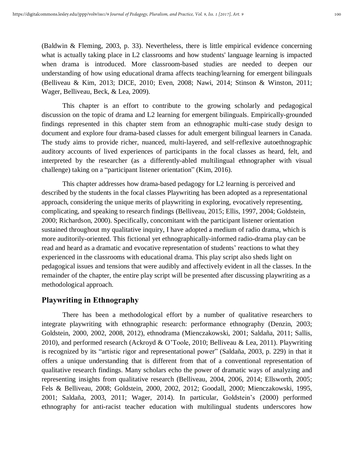(Baldwin & Fleming, 2003, p. 33). Nevertheless, there is little empirical evidence concerning what is actually taking place in L2 classrooms and how students' language learning is impacted when drama is introduced. More classroom-based studies are needed to deepen our understanding of how using educational drama affects teaching/learning for emergent bilinguals (Belliveau & Kim, 2013; DICE, 2010; Even, 2008; Nawi, 2014; Stinson & Winston, 2011; Wager, Belliveau, Beck, & Lea, 2009).

This chapter is an effort to contribute to the growing scholarly and pedagogical discussion on the topic of drama and L2 learning for emergent bilinguals. Empirically-grounded findings represented in this chapter stem from an ethnographic multi-case study design to document and explore four drama-based classes for adult emergent bilingual learners in Canada. The study aims to provide richer, nuanced, multi-layered, and self-reflexive autoethnographic auditory accounts of lived experiences of participants in the focal classes as heard, felt, and interpreted by the researcher (as a differently-abled multilingual ethnographer with visual challenge) taking on a "participant listener orientation" (Kim, 2016).

This chapter addresses how drama-based pedagogy for L2 learning is perceived and described by the students in the focal classes Playwriting has been adopted as a representational approach, considering the unique merits of playwriting in exploring, evocatively representing, complicating, and speaking to research findings (Belliveau, 2015; Ellis, 1997, 2004; Goldstein, 2000; Richardson, 2000). Specifically, concomitant with the participant listener orientation sustained throughout my qualitative inquiry, I have adopted a medium of radio drama, which is more auditorily-oriented. This fictional yet ethnographically-informed radio-drama play can be read and heard as a dramatic and evocative representation of students' reactions to what they experienced in the classrooms with educational drama. This play script also sheds light on pedagogical issues and tensions that were audibly and affectively evident in all the classes. In the remainder of the chapter, the entire play script will be presented after discussing playwriting as a methodological approach.

## **Playwriting in Ethnography**

There has been a methodological effort by a number of qualitative researchers to integrate playwriting with ethnographic research: performance ethnography (Denzin, 2003; Goldstein, 2000, 2002, 2008, 2012), ethnodrama (Mienczakowski, 2001; Saldaña, 2011; Sallis, 2010), and performed research (Ackroyd & O'Toole, 2010; Belliveau & Lea, 2011). Playwriting is recognized by its "artistic rigor and representational power" (Saldaña, 2003, p. 229) in that it offers a unique understanding that is different from that of a conventional representation of qualitative research findings. Many scholars echo the power of dramatic ways of analyzing and representing insights from qualitative research (Belliveau, 2004, 2006, 2014; Ellsworth, 2005; Fels & Belliveau, 2008; Goldstein, 2000, 2002, 2012; Goodall, 2000; Mienczakowski, 1995, 2001; Saldaña, 2003, 2011; Wager, 2014). In particular, Goldstein's (2000) performed ethnography for anti-racist teacher education with multilingual students underscores how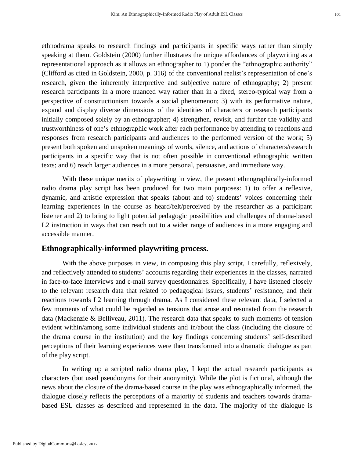ethnodrama speaks to research findings and participants in specific ways rather than simply speaking at them. Goldstein (2000) further illustrates the unique affordances of playwriting as a representational approach as it allows an ethnographer to 1) ponder the "ethnographic authority" (Clifford as cited in Goldstein, 2000, p. 316) of the conventional realist's representation of one's research, given the inherently interpretive and subjective nature of ethnography; 2) present research participants in a more nuanced way rather than in a fixed, stereo-typical way from a perspective of constructionism towards a social phenomenon; 3) with its performative nature, expand and display diverse dimensions of the identities of characters or research participants initially composed solely by an ethnographer; 4) strengthen, revisit, and further the validity and trustworthiness of one's ethnographic work after each performance by attending to reactions and responses from research participants and audiences to the performed version of the work; 5) present both spoken and unspoken meanings of words, silence, and actions of characters/research participants in a specific way that is not often possible in conventional ethnographic written texts; and 6) reach larger audiences in a more personal, persuasive, and immediate way.

With these unique merits of playwriting in view, the present ethnographically-informed radio drama play script has been produced for two main purposes: 1) to offer a reflexive, dynamic, and artistic expression that speaks (about and to) students' voices concerning their learning experiences in the course as heard/felt/perceived by the researcher as a participant listener and 2) to bring to light potential pedagogic possibilities and challenges of drama-based L2 instruction in ways that can reach out to a wider range of audiences in a more engaging and accessible manner.

#### **Ethnographically-informed playwriting process.**

With the above purposes in view, in composing this play script, I carefully, reflexively, and reflectively attended to students' accounts regarding their experiences in the classes, narrated in face-to-face interviews and e-mail survey questionnaires. Specifically, I have listened closely to the relevant research data that related to pedagogical issues, students' resistance, and their reactions towards L2 learning through drama. As I considered these relevant data, I selected a few moments of what could be regarded as tensions that arose and resonated from the research data (Mackenzie & Belliveau, 2011). The research data that speaks to such moments of tension evident within/among some individual students and in/about the class (including the closure of the drama course in the institution) and the key findings concerning students' self-described perceptions of their learning experiences were then transformed into a dramatic dialogue as part of the play script.

In writing up a scripted radio drama play, I kept the actual research participants as characters (but used pseudonyms for their anonymity). While the plot is fictional, although the news about the closure of the drama-based course in the play was ethnographically informed, the dialogue closely reflects the perceptions of a majority of students and teachers towards dramabased ESL classes as described and represented in the data. The majority of the dialogue is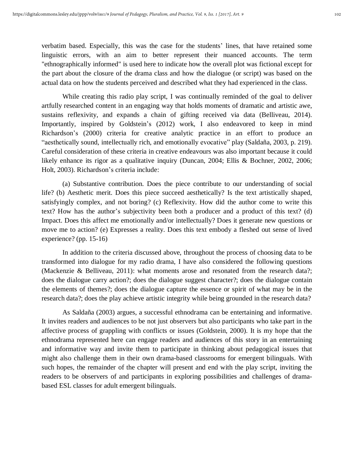verbatim based. Especially, this was the case for the students' lines, that have retained some linguistic errors, with an aim to better represent their nuanced accounts. The term "ethnographically informed" is used here to indicate how the overall plot was fictional except for the part about the closure of the drama class and how the dialogue (or script) was based on the actual data on how the students perceived and described what they had experienced in the class.

While creating this radio play script, I was continually reminded of the goal to deliver artfully researched content in an engaging way that holds moments of dramatic and artistic awe, sustains reflexivity, and expands a chain of gifting received via data (Belliveau, 2014). Importantly, inspired by Goldstein's (2012) work, I also endeavored to keep in mind Richardson's (2000) criteria for creative analytic practice in an effort to produce an "aesthetically sound, intellectually rich, and emotionally evocative" play (Saldaña, 2003, p. 219). Careful consideration of these criteria in creative endeavours was also important because it could likely enhance its rigor as a qualitative inquiry (Duncan, 2004; Ellis & Bochner, 2002, 2006; Holt, 2003). Richardson's criteria include:

(a) Substantive contribution. Does the piece contribute to our understanding of social life? (b) Aesthetic merit. Does this piece succeed aesthetically? Is the text artistically shaped, satisfyingly complex, and not boring? (c) Reflexivity. How did the author come to write this text? How has the author's subjectivity been both a producer and a product of this text? (d) Impact. Does this affect me emotionally and/or intellectually? Does it generate new questions or move me to action? (e) Expresses a reality. Does this text embody a fleshed out sense of lived experience? (pp. 15-16)

In addition to the criteria discussed above, throughout the process of choosing data to be transformed into dialogue for my radio drama, I have also considered the following questions (Mackenzie & Belliveau, 2011): what moments arose and resonated from the research data?; does the dialogue carry action?; does the dialogue suggest character?; does the dialogue contain the elements of themes?; does the dialogue capture the essence or spirit of what may be in the research data?; does the play achieve artistic integrity while being grounded in the research data?

As Saldaña (2003) argues, a successful ethnodrama can be entertaining and informative. It invites readers and audiences to be not just observers but also participants who take part in the affective process of grappling with conflicts or issues (Goldstein, 2000). It is my hope that the ethnodrama represented here can engage readers and audiences of this story in an entertaining and informative way and invite them to participate in thinking about pedagogical issues that might also challenge them in their own drama-based classrooms for emergent bilinguals. With such hopes, the remainder of the chapter will present and end with the play script, inviting the readers to be observers of and participants in exploring possibilities and challenges of dramabased ESL classes for adult emergent bilinguals.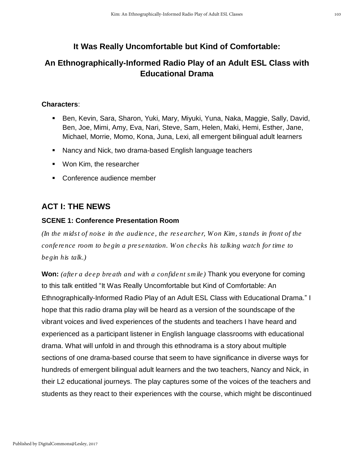## **It Was Really Uncomfortable but Kind of Comfortable:**

## **An Ethnographically-Informed Radio Play of an Adult ESL Class with Educational Drama**

## **Characters**:

- Ben, Kevin, Sara, Sharon, Yuki, Mary, Miyuki, Yuna, Naka, Maggie, Sally, David, Ben, Joe, Mimi, Amy, Eva, Nari, Steve, Sam, Helen, Maki, Hemi, Esther, Jane, Michael, Morrie, Momo, Kona, Juna, Lexi, all emergent bilingual adult learners
- Nancy and Nick, two drama-based English language teachers
- Won Kim, the researcher
- Conference audience member

## **ACT I: THE NEWS**

## **SCENE 1: Conference Presentation Room**

*(In the midst of noise in the audience, the researcher, Won Kim, stands in front of the conference room to begin a presentation. Won checks his talking watch for time to begin his talk.)*

**Won:** *(after a deep breath and with a confident smile)* Thank you everyone for coming to this talk entitled "It Was Really Uncomfortable but Kind of Comfortable: An Ethnographically-Informed Radio Play of an Adult ESL Class with Educational Drama." I hope that this radio drama play will be heard as a version of the soundscape of the vibrant voices and lived experiences of the students and teachers I have heard and experienced as a participant listener in English language classrooms with educational drama. What will unfold in and through this ethnodrama is a story about multiple sections of one drama-based course that seem to have significance in diverse ways for hundreds of emergent bilingual adult learners and the two teachers, Nancy and Nick, in their L2 educational journeys. The play captures some of the voices of the teachers and students as they react to their experiences with the course, which might be discontinued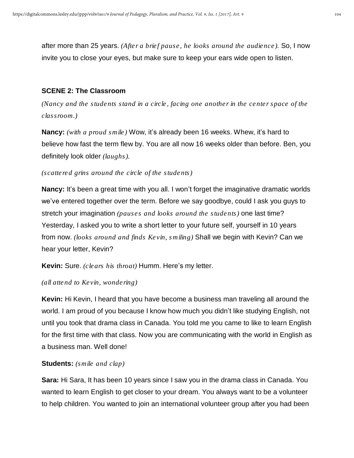after more than 25 years. *(After a brief pause, he looks around the audience).* So, I now invite you to close your eyes, but make sure to keep your ears wide open to listen.

#### **SCENE 2: The Classroom**

*(Nancy and the students stand in a circle, facing one another in the center space of the classroom.)*

**Nancy:** *(with a proud smile)* Wow, it's already been 16 weeks. Whew, it's hard to believe how fast the term flew by. You are all now 16 weeks older than before. Ben, you definitely look older *(laughs).*

#### *(scattered grins around the circle of the students)*

**Nancy:** It's been a great time with you all. I won't forget the imaginative dramatic worlds we've entered together over the term. Before we say goodbye, could I ask you guys to stretch your imagination *(pauses and looks around the students)* one last time? Yesterday, I asked you to write a short letter to your future self, yourself in 10 years from now. *(looks around and finds Kevin, smiling)* Shall we begin with Kevin? Can we hear your letter, Kevin?

**Kevin:** Sure. *(clears his throat)* Humm. Here's my letter.

#### *(all attend to Kevin, wondering)*

**Kevin:** Hi Kevin, I heard that you have become a business man traveling all around the world. I am proud of you because I know how much you didn't like studying English, not until you took that drama class in Canada. You told me you came to like to learn English for the first time with that class. Now you are communicating with the world in English as a business man. Well done!

#### **Students:** *(smile and clap)*

**Sara:** Hi Sara, It has been 10 years since I saw you in the drama class in Canada. You wanted to learn English to get closer to your dream. You always want to be a volunteer to help children. You wanted to join an international volunteer group after you had been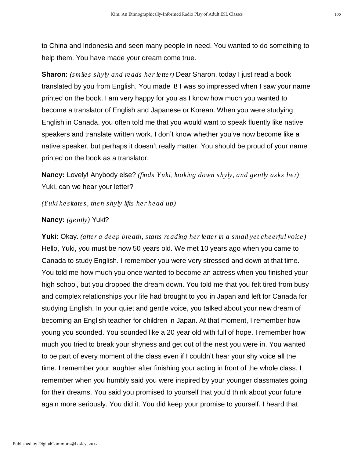to China and Indonesia and seen many people in need. You wanted to do something to help them. You have made your dream come true.

**Sharon:** *(smiles shyly and reads her letter)* Dear Sharon, today I just read a book translated by you from English. You made it! I was so impressed when I saw your name printed on the book. I am very happy for you as I know how much you wanted to become a translator of English and Japanese or Korean. When you were studying English in Canada, you often told me that you would want to speak fluently like native speakers and translate written work. I don't know whether you've now become like a native speaker, but perhaps it doesn't really matter. You should be proud of your name printed on the book as a translator.

**Nancy:** Lovely! Anybody else? *(finds Yuki, looking down shyly, and gently asks her)* Yuki, can we hear your letter?

*(Yuki hesitates, then shyly lifts her head up)*

**Nancy:** *(gently)* Yuki?

**Yuki:** Okay. *(after a deep breath, starts reading her letter in a small yet cheerful voice)* Hello, Yuki, you must be now 50 years old. We met 10 years ago when you came to Canada to study English. I remember you were very stressed and down at that time. You told me how much you once wanted to become an actress when you finished your high school, but you dropped the dream down. You told me that you felt tired from busy and complex relationships your life had brought to you in Japan and left for Canada for studying English. In your quiet and gentle voice, you talked about your new dream of becoming an English teacher for children in Japan. At that moment, I remember how young you sounded. You sounded like a 20 year old with full of hope. I remember how much you tried to break your shyness and get out of the nest you were in. You wanted to be part of every moment of the class even if I couldn't hear your shy voice all the time. I remember your laughter after finishing your acting in front of the whole class. I remember when you humbly said you were inspired by your younger classmates going for their dreams. You said you promised to yourself that you'd think about your future again more seriously. You did it. You did keep your promise to yourself. I heard that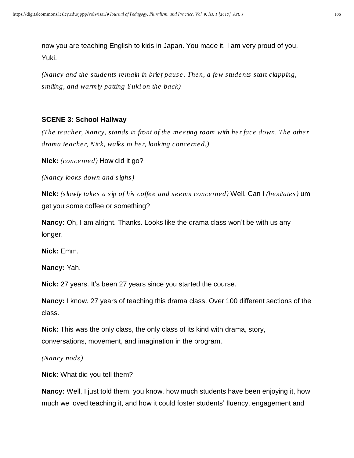now you are teaching English to kids in Japan. You made it. I am very proud of you, Yuki.

*(Nancy and the students remain in brief pause. Then, a few students start clapping, smiling, and warmly patting Yuki on the back)*

#### **SCENE 3: School Hallway**

*(The teacher, Nancy, stands in front of the meeting room with her face down. The other drama teacher, Nick, walks to her, looking concerned.)*

**Nick:** *(concerned)* How did it go?

*(Nancy looks down and sighs)*

**Nick:** *(slowly takes a sip of his coffee and seems concerned)* Well. Can I *(hesitates)* um get you some coffee or something?

**Nancy:** Oh, I am alright. Thanks. Looks like the drama class won't be with us any longer.

**Nick:** Emm.

**Nancy:** Yah.

**Nick:** 27 years. It's been 27 years since you started the course.

**Nancy:** I know. 27 years of teaching this drama class. Over 100 different sections of the class.

**Nick:** This was the only class, the only class of its kind with drama, story, conversations, movement, and imagination in the program.

*(Nancy nods)*

**Nick:** What did you tell them?

**Nancy:** Well, I just told them, you know, how much students have been enjoying it, how much we loved teaching it, and how it could foster students' fluency, engagement and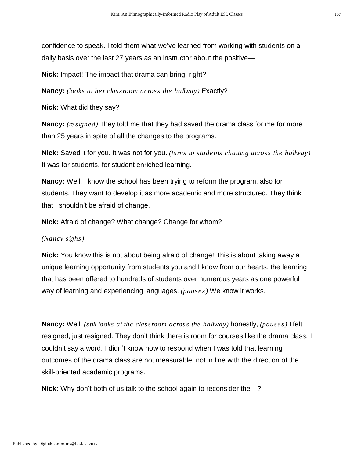confidence to speak. I told them what we've learned from working with students on a daily basis over the last 27 years as an instructor about the positive—

**Nick:** Impact! The impact that drama can bring, right?

**Nancy:** *(looks at her classroom across the hallway)* Exactly?

**Nick:** What did they say?

**Nancy:** *(resigned)* They told me that they had saved the drama class for me for more than 25 years in spite of all the changes to the programs.

**Nick:** Saved it for you. It was not for you. *(turns to students chatting across the hallway)* It was for students, for student enriched learning.

**Nancy:** Well, I know the school has been trying to reform the program, also for students. They want to develop it as more academic and more structured. They think that I shouldn't be afraid of change.

**Nick:** Afraid of change? What change? Change for whom?

#### *(Nancy sighs)*

**Nick:** You know this is not about being afraid of change! This is about taking away a unique learning opportunity from students you and I know from our hearts, the learning that has been offered to hundreds of students over numerous years as one powerful way of learning and experiencing languages. *(pauses)* We know it works.

**Nancy:** Well, *(still looks at the classroom across the hallway)* honestly, *(pauses)* I felt resigned, just resigned. They don't think there is room for courses like the drama class. I couldn't say a word. I didn't know how to respond when I was told that learning outcomes of the drama class are not measurable, not in line with the direction of the skill-oriented academic programs.

**Nick:** Why don't both of us talk to the school again to reconsider the—?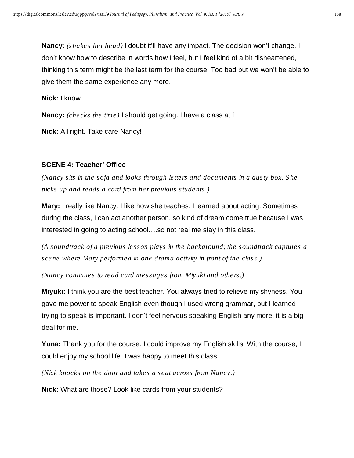**Nancy:** *(shakes her head)* I doubt it'll have any impact. The decision won't change. I don't know how to describe in words how I feel, but I feel kind of a bit disheartened, thinking this term might be the last term for the course. Too bad but we won't be able to give them the same experience any more.

**Nick:** I know.

**Nancy:** *(checks the time)* I should get going. I have a class at 1.

**Nick:** All right. Take care Nancy!

### **SCENE 4: Teacher' Office**

*(Nancy sits in the sofa and looks through letters and documents in a dusty box. She picks up and reads a card from her previous students.)*

**Mary:** I really like Nancy. I like how she teaches. I learned about acting. Sometimes during the class, I can act another person, so kind of dream come true because I was interested in going to acting school….so not real me stay in this class.

*(A soundtrack of a previous lesson plays in the background; the soundtrack captures a scene where Mary performed in one drama activity in front of the class.)*

*(Nancy continues to read card messages from Miyuki and others.)*

**Miyuki:** I think you are the best teacher. You always tried to relieve my shyness. You gave me power to speak English even though I used wrong grammar, but I learned trying to speak is important. I don't feel nervous speaking English any more, it is a big deal for me.

**Yuna:** Thank you for the course. I could improve my English skills. With the course, I could enjoy my school life. I was happy to meet this class.

*(Nick knocks on the door and takes a seat across from Nancy.)*

**Nick:** What are those? Look like cards from your students?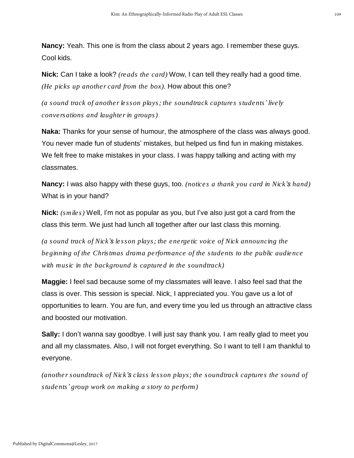**Nancy:** Yeah. This one is from the class about 2 years ago. I remember these guys. Cool kids.

**Nick:** Can I take a look? *(reads the card)* Wow, I can tell they really had a good time. *(He picks up another card from the box).* How about this one?

*(a sound track of another lesson plays; the soundtrack captures students' lively conversations and laughter in groups)*

**Naka:** Thanks for your sense of humour, the atmosphere of the class was always good. You never made fun of students' mistakes, but helped us find fun in making mistakes. We felt free to make mistakes in your class. I was happy talking and acting with my classmates.

**Nancy:** I was also happy with these guys, too. *(notices a thank you card in Nick's hand)* What is in your hand?

**Nick:** *(smiles)* Well, I'm not as popular as you, but I've also just got a card from the class this term. We just had lunch all together after our last class this morning.

*(a sound track of Nick's lesson plays; the energetic voice of Nick announcing the beginning of the Christmas drama performance of the students to the public audience with music in the background is captured in the soundtrack)*

**Maggie:** I feel sad because some of my classmates will leave. I also feel sad that the class is over. This session is special. Nick, I appreciated you. You gave us a lot of opportunities to learn. You are fun, and every time you led us through an attractive class and boosted our motivation.

**Sally:** I don't wanna say goodbye. I will just say thank you. I am really glad to meet you and all my classmates. Also, I will not forget everything. So I want to tell I am thankful to everyone.

*(another soundtrack of Nick's class lesson plays; the soundtrack captures the sound of students' group work on making a story to perform)*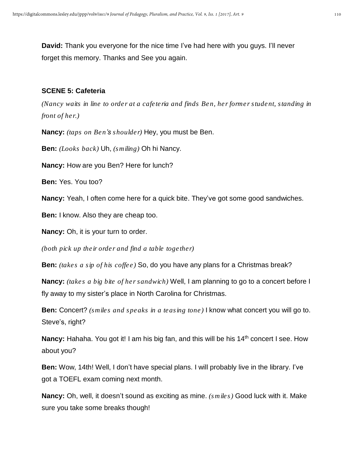**David:** Thank you everyone for the nice time I've had here with you guys. I'll never forget this memory. Thanks and See you again.

### **SCENE 5: Cafeteria**

*(Nancy waits in line to order at a cafeteria and finds Ben, her former student, standing in front of her.)*

**Nancy:** *(taps on Ben's shoulder)* Hey, you must be Ben.

**Ben:** *(Looks back)* Uh, *(smiling)* Oh hi Nancy.

**Nancy:** How are you Ben? Here for lunch?

**Ben:** Yes. You too?

**Nancy:** Yeah, I often come here for a quick bite. They've got some good sandwiches.

**Ben:** I know. Also they are cheap too.

**Nancy:** Oh, it is your turn to order.

*(both pick up their order and find a table together)*

**Ben:** *(takes a sip of his coffee)* So, do you have any plans for a Christmas break?

**Nancy:** *(takes a big bite of her sandwich)* Well, I am planning to go to a concert before I fly away to my sister's place in North Carolina for Christmas.

**Ben:** Concert? *(smiles and speaks in a teasing tone)* I know what concert you will go to. Steve's, right?

Nancy: Hahaha. You got it! I am his big fan, and this will be his 14<sup>th</sup> concert I see. How about you?

**Ben:** Wow, 14th! Well, I don't have special plans. I will probably live in the library. I've got a TOEFL exam coming next month.

**Nancy:** Oh, well, it doesn't sound as exciting as mine. *(smiles)* Good luck with it. Make sure you take some breaks though!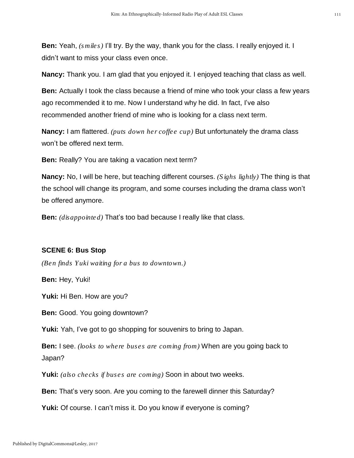**Ben:** Yeah, *(smiles)* I'll try. By the way, thank you for the class. I really enjoyed it. I didn't want to miss your class even once.

**Nancy:** Thank you. I am glad that you enjoyed it. I enjoyed teaching that class as well.

**Ben:** Actually I took the class because a friend of mine who took your class a few years ago recommended it to me. Now I understand why he did. In fact, I've also recommended another friend of mine who is looking for a class next term.

**Nancy:** I am flattered. *(puts down her coffee cup)* But unfortunately the drama class won't be offered next term.

**Ben:** Really? You are taking a vacation next term?

**Nancy:** No, I will be here, but teaching different courses. *(Sighs lightly)* The thing is that the school will change its program, and some courses including the drama class won't be offered anymore.

**Ben:** *(disappointed)* That's too bad because I really like that class.

### **SCENE 6: Bus Stop**

*(Ben finds Yuki waiting for a bus to downtown.)*

**Ben:** Hey, Yuki!

**Yuki:** Hi Ben. How are you?

**Ben:** Good. You going downtown?

**Yuki:** Yah, I've got to go shopping for souvenirs to bring to Japan.

**Ben:** I see. *(looks to where buses are coming from)* When are you going back to Japan?

**Yuki:** *(also checks if buses are coming)* Soon in about two weeks.

**Ben:** That's very soon. Are you coming to the farewell dinner this Saturday?

**Yuki:** Of course. I can't miss it. Do you know if everyone is coming?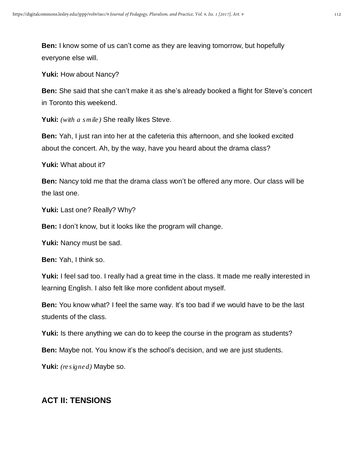**Ben:** I know some of us can't come as they are leaving tomorrow, but hopefully everyone else will.

**Yuki:** How about Nancy?

**Ben:** She said that she can't make it as she's already booked a flight for Steve's concert in Toronto this weekend.

**Yuki:** *(with a smile)* She really likes Steve.

**Ben:** Yah, I just ran into her at the cafeteria this afternoon, and she looked excited about the concert. Ah, by the way, have you heard about the drama class?

**Yuki:** What about it?

**Ben:** Nancy told me that the drama class won't be offered any more. Our class will be the last one.

Yuki: Last one? Really? Why?

**Ben:** I don't know, but it looks like the program will change.

**Yuki:** Nancy must be sad.

**Ben:** Yah, I think so.

**Yuki:** I feel sad too. I really had a great time in the class. It made me really interested in learning English. I also felt like more confident about myself.

**Ben:** You know what? I feel the same way. It's too bad if we would have to be the last students of the class.

**Yuki:** Is there anything we can do to keep the course in the program as students?

**Ben:** Maybe not. You know it's the school's decision, and we are just students.

**Yuki:** *(resigned)* Maybe so.

## **ACT II: TENSIONS**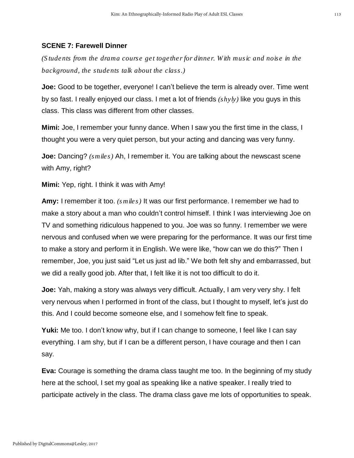#### **SCENE 7: Farewell Dinner**

*(Students from the drama course get together for dinner. With music and noise in the background, the students talk about the class.)*

**Joe:** Good to be together, everyone! I can't believe the term is already over. Time went by so fast. I really enjoyed our class. I met a lot of friends *(shyly)* like you guys in this class. This class was different from other classes.

**Mimi:** Joe, I remember your funny dance. When I saw you the first time in the class, I thought you were a very quiet person, but your acting and dancing was very funny.

**Joe:** Dancing? *(smiles)* Ah, I remember it. You are talking about the newscast scene with Amy, right?

**Mimi:** Yep, right. I think it was with Amy!

**Amy:** I remember it too. *(smiles)* It was our first performance. I remember we had to make a story about a man who couldn't control himself. I think I was interviewing Joe on TV and something ridiculous happened to you. Joe was so funny. I remember we were nervous and confused when we were preparing for the performance. It was our first time to make a story and perform it in English. We were like, "how can we do this?" Then I remember, Joe, you just said "Let us just ad lib." We both felt shy and embarrassed, but we did a really good job. After that, I felt like it is not too difficult to do it.

**Joe:** Yah, making a story was always very difficult. Actually, I am very very shy. I felt very nervous when I performed in front of the class, but I thought to myself, let's just do this. And I could become someone else, and I somehow felt fine to speak.

**Yuki:** Me too. I don't know why, but if I can change to someone, I feel like I can say everything. I am shy, but if I can be a different person, I have courage and then I can say.

**Eva:** Courage is something the drama class taught me too. In the beginning of my study here at the school, I set my goal as speaking like a native speaker. I really tried to participate actively in the class. The drama class gave me lots of opportunities to speak.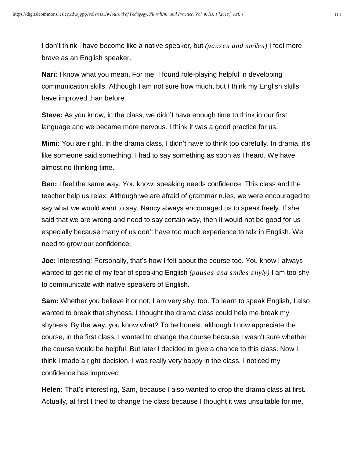I don't think I have become like a native speaker, but *(pauses and smiles)* I feel more brave as an English speaker.

**Nari:** I know what you mean. For me, I found role-playing helpful in developing communication skills. Although I am not sure how much, but I think my English skills have improved than before.

**Steve:** As you know, in the class, we didn't have enough time to think in our first language and we became more nervous. I think it was a good practice for us.

**Mimi:** You are right. In the drama class, I didn't have to think too carefully. In drama, it's like someone said something, I had to say something as soon as I heard. We have almost no thinking time.

**Ben:** I feel the same way. You know, speaking needs confidence. This class and the teacher help us relax. Although we are afraid of grammar rules, we were encouraged to say what we would want to say. Nancy always encouraged us to speak freely. If she said that we are wrong and need to say certain way, then it would not be good for us especially because many of us don't have too much experience to talk in English. We need to grow our confidence.

**Joe:** Interesting! Personally, that's how I felt about the course too. You know I always wanted to get rid of my fear of speaking English *(pauses and smiles shyly)* I am too shy to communicate with native speakers of English.

**Sam:** Whether you believe it or not, I am very shy, too. To learn to speak English, I also wanted to break that shyness. I thought the drama class could help me break my shyness. By the way, you know what? To be honest, although I now appreciate the course, in the first class, I wanted to change the course because I wasn't sure whether the course would be helpful. But later I decided to give a chance to this class. Now I think I made a right decision. I was really very happy in the class. I noticed my confidence has improved.

**Helen:** That's interesting, Sam, because I also wanted to drop the drama class at first. Actually, at first I tried to change the class because I thought it was unsuitable for me,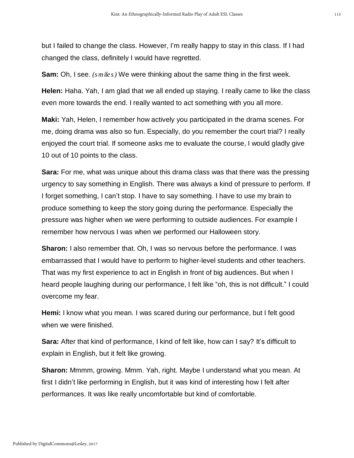but I failed to change the class. However, I'm really happy to stay in this class. If I had changed the class, definitely I would have regretted.

**Sam:** Oh, I see. *(smiles)* We were thinking about the same thing in the first week.

**Helen:** Haha. Yah, I am glad that we all ended up staying. I really came to like the class even more towards the end. I really wanted to act something with you all more.

**Maki:** Yah, Helen, I remember how actively you participated in the drama scenes. For me, doing drama was also so fun. Especially, do you remember the court trial? I really enjoyed the court trial. If someone asks me to evaluate the course, I would gladly give 10 out of 10 points to the class.

**Sara:** For me, what was unique about this drama class was that there was the pressing urgency to say something in English. There was always a kind of pressure to perform. If I forget something, I can't stop. I have to say something. I have to use my brain to produce something to keep the story going during the performance. Especially the pressure was higher when we were performing to outside audiences. For example I remember how nervous I was when we performed our Halloween story.

**Sharon:** I also remember that. Oh, I was so nervous before the performance. I was embarrassed that I would have to perform to higher-level students and other teachers. That was my first experience to act in English in front of big audiences. But when I heard people laughing during our performance, I felt like "oh, this is not difficult." I could overcome my fear.

**Hemi:** I know what you mean. I was scared during our performance, but I felt good when we were finished.

**Sara:** After that kind of performance, I kind of felt like, how can I say? It's difficult to explain in English, but it felt like growing.

**Sharon:** Mmmm, growing. Mmm. Yah, right. Maybe I understand what you mean. At first I didn't like performing in English, but it was kind of interesting how I felt after performances. It was like really uncomfortable but kind of comfortable.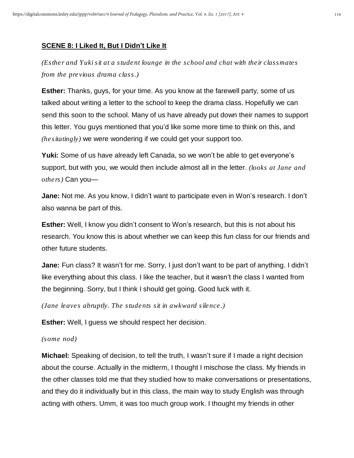## **SCENE 8: I Liked It, But I Didn't Like It**

*(Esther and Yuki sit at a student lounge in the school and chat with their classmates from the previous drama class.)*

**Esther:** Thanks, guys, for your time. As you know at the farewell party, some of us talked about writing a letter to the school to keep the drama class. Hopefully we can send this soon to the school. Many of us have already put down their names to support this letter. You guys mentioned that you'd like some more time to think on this, and *(hesitatingly)* we were wondering if we could get your support too.

**Yuki:** Some of us have already left Canada, so we won't be able to get everyone's support, but with you, we would then include almost all in the letter. *(looks at Jane and others)* Can you—

**Jane:** Not me. As you know, I didn't want to participate even in Won's research. I don't also wanna be part of this.

**Esther:** Well, I know you didn't consent to Won's research, but this is not about his research. You know this is about whether we can keep this fun class for our friends and other future students.

**Jane:** Fun class? It wasn't for me. Sorry, I just don't want to be part of anything. I didn't like everything about this class. I like the teacher, but it wasn't the class I wanted from the beginning. Sorry, but I think I should get going. Good luck with it.

*(Jane leaves abruptly. The students sit in awkward silence.)*

**Esther:** Well, I guess we should respect her decision.

*(some nod)*

**Michael:** Speaking of decision, to tell the truth, I wasn't sure if I made a right decision about the course. Actually in the midterm, I thought I mischose the class. My friends in the other classes told me that they studied how to make conversations or presentations, and they do it individually but in this class, the main way to study English was through acting with others. Umm, it was too much group work. I thought my friends in other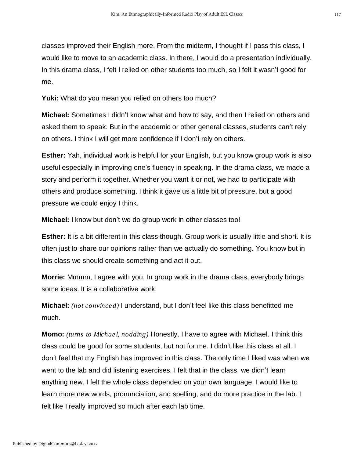classes improved their English more. From the midterm, I thought if I pass this class, I would like to move to an academic class. In there, I would do a presentation individually. In this drama class, I felt I relied on other students too much, so I felt it wasn't good for me.

**Yuki:** What do you mean you relied on others too much?

**Michael:** Sometimes I didn't know what and how to say, and then I relied on others and asked them to speak. But in the academic or other general classes, students can't rely on others. I think I will get more confidence if I don't rely on others.

**Esther:** Yah, individual work is helpful for your English, but you know group work is also useful especially in improving one's fluency in speaking. In the drama class, we made a story and perform it together. Whether you want it or not, we had to participate with others and produce something. I think it gave us a little bit of pressure, but a good pressure we could enjoy I think.

**Michael:** I know but don't we do group work in other classes too!

**Esther:** It is a bit different in this class though. Group work is usually little and short. It is often just to share our opinions rather than we actually do something. You know but in this class we should create something and act it out.

**Morrie:** Mmmm, I agree with you. In group work in the drama class, everybody brings some ideas. It is a collaborative work.

**Michael:** *(not convinced)* I understand, but I don't feel like this class benefitted me much.

**Momo:** *(turns to Michael, nodding)* Honestly, I have to agree with Michael. I think this class could be good for some students, but not for me. I didn't like this class at all. I don't feel that my English has improved in this class. The only time I liked was when we went to the lab and did listening exercises. I felt that in the class, we didn't learn anything new. I felt the whole class depended on your own language. I would like to learn more new words, pronunciation, and spelling, and do more practice in the lab. I felt like I really improved so much after each lab time.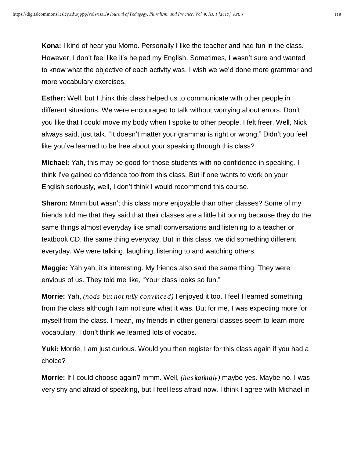**Kona:** I kind of hear you Momo. Personally I like the teacher and had fun in the class. However, I don't feel like it's helped my English. Sometimes, I wasn't sure and wanted to know what the objective of each activity was. I wish we we'd done more grammar and more vocabulary exercises.

**Esther:** Well, but I think this class helped us to communicate with other people in different situations. We were encouraged to talk without worrying about errors. Don't you like that I could move my body when I spoke to other people. I felt freer. Well, Nick always said, just talk. "It doesn't matter your grammar is right or wrong." Didn't you feel like you've learned to be free about your speaking through this class?

**Michael:** Yah, this may be good for those students with no confidence in speaking. I think I've gained confidence too from this class. But if one wants to work on your English seriously, well, I don't think I would recommend this course.

**Sharon:** Mmm but wasn't this class more enjoyable than other classes? Some of my friends told me that they said that their classes are a little bit boring because they do the same things almost everyday like small conversations and listening to a teacher or textbook CD, the same thing everyday. But in this class, we did something different everyday. We were talking, laughing, listening to and watching others.

**Maggie:** Yah yah, it's interesting. My friends also said the same thing. They were envious of us. They told me like, "Your class looks so fun."

**Morrie:** Yah, *(nods but not fully convinced)* I enjoyed it too. I feel I learned something from the class although I am not sure what it was. But for me, I was expecting more for myself from the class. I mean, my friends in other general classes seem to learn more vocabulary. I don't think we learned lots of vocabs.

**Yuki:** Morrie, I am just curious. Would you then register for this class again if you had a choice?

**Morrie:** If I could choose again? mmm. Well, *(hesitatingly)* maybe yes. Maybe no. I was very shy and afraid of speaking, but I feel less afraid now. I think I agree with Michael in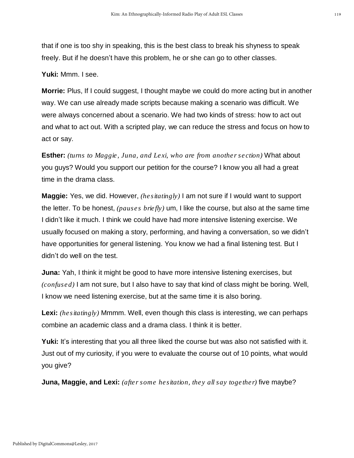that if one is too shy in speaking, this is the best class to break his shyness to speak freely. But if he doesn't have this problem, he or she can go to other classes.

**Yuki:** Mmm. I see.

**Morrie:** Plus, If I could suggest, I thought maybe we could do more acting but in another way. We can use already made scripts because making a scenario was difficult. We were always concerned about a scenario. We had two kinds of stress: how to act out and what to act out. With a scripted play, we can reduce the stress and focus on how to act or say.

**Esther:** *(turns to Maggie, Juna, and Lexi, who are from another section)* What about you guys? Would you support our petition for the course? I know you all had a great time in the drama class.

**Maggie:** Yes, we did. However, *(hesitatingly)* I am not sure if I would want to support the letter. To be honest, *(pauses briefly)* um, I like the course, but also at the same time I didn't like it much. I think we could have had more intensive listening exercise. We usually focused on making a story, performing, and having a conversation, so we didn't have opportunities for general listening. You know we had a final listening test. But I didn't do well on the test.

**Juna:** Yah, I think it might be good to have more intensive listening exercises, but *(confused)* I am not sure, but I also have to say that kind of class might be boring. Well, I know we need listening exercise, but at the same time it is also boring.

**Lexi:** *(hesitatingly)* Mmmm. Well, even though this class is interesting, we can perhaps combine an academic class and a drama class. I think it is better.

Yuki: It's interesting that you all three liked the course but was also not satisfied with it. Just out of my curiosity, if you were to evaluate the course out of 10 points, what would you give?

**Juna, Maggie, and Lexi:** *(after some hesitation, they all say together)* five maybe?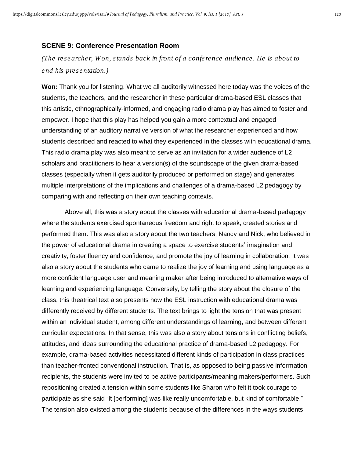#### **SCENE 9: Conference Presentation Room**

*(The researcher, Won, stands back in front of a conference audience. He is about to end his presentation.)*

**Won:** Thank you for listening. What we all auditorily witnessed here today was the voices of the students, the teachers, and the researcher in these particular drama-based ESL classes that this artistic, ethnographically-informed, and engaging radio drama play has aimed to foster and empower. I hope that this play has helped you gain a more contextual and engaged understanding of an auditory narrative version of what the researcher experienced and how students described and reacted to what they experienced in the classes with educational drama. This radio drama play was also meant to serve as an invitation for a wider audience of L2 scholars and practitioners to hear a version(s) of the soundscape of the given drama-based classes (especially when it gets auditorily produced or performed on stage) and generates multiple interpretations of the implications and challenges of a drama-based L2 pedagogy by comparing with and reflecting on their own teaching contexts.

Above all, this was a story about the classes with educational drama-based pedagogy where the students exercised spontaneous freedom and right to speak, created stories and performed them. This was also a story about the two teachers, Nancy and Nick, who believed in the power of educational drama in creating a space to exercise students' imagination and creativity, foster fluency and confidence, and promote the joy of learning in collaboration. It was also a story about the students who came to realize the joy of learning and using language as a more confident language user and meaning maker after being introduced to alternative ways of learning and experiencing language. Conversely, by telling the story about the closure of the class, this theatrical text also presents how the ESL instruction with educational drama was differently received by different students. The text brings to light the tension that was present within an individual student, among different understandings of learning, and between different curricular expectations. In that sense, this was also a story about tensions in conflicting beliefs, attitudes, and ideas surrounding the educational practice of drama-based L2 pedagogy. For example, drama-based activities necessitated different kinds of participation in class practices than teacher-fronted conventional instruction. That is, as opposed to being passive information recipients, the students were invited to be active participants/meaning makers/performers. Such repositioning created a tension within some students like Sharon who felt it took courage to participate as she said "it [performing] was like really uncomfortable, but kind of comfortable." The tension also existed among the students because of the differences in the ways students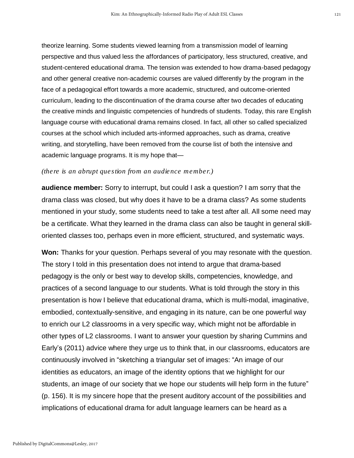theorize learning. Some students viewed learning from a transmission model of learning perspective and thus valued less the affordances of participatory, less structured, creative, and student-centered educational drama. The tension was extended to how drama-based pedagogy and other general creative non-academic courses are valued differently by the program in the face of a pedagogical effort towards a more academic, structured, and outcome-oriented curriculum, leading to the discontinuation of the drama course after two decades of educating the creative minds and linguistic competencies of hundreds of students. Today, this rare English language course with educational drama remains closed. In fact, all other so called specialized courses at the school which included arts-informed approaches, such as drama, creative writing, and storytelling, have been removed from the course list of both the intensive and academic language programs. It is my hope that—

#### *(there is an abrupt question from an audience member.)*

**audience member:** Sorry to interrupt, but could I ask a question? I am sorry that the drama class was closed, but why does it have to be a drama class? As some students mentioned in your study, some students need to take a test after all. All some need may be a certificate. What they learned in the drama class can also be taught in general skilloriented classes too, perhaps even in more efficient, structured, and systematic ways.

**Won:** Thanks for your question. Perhaps several of you may resonate with the question. The story I told in this presentation does not intend to argue that drama-based pedagogy is the only or best way to develop skills, competencies, knowledge, and practices of a second language to our students. What is told through the story in this presentation is how I believe that educational drama, which is multi-modal, imaginative, embodied, contextually-sensitive, and engaging in its nature, can be one powerful way to enrich our L2 classrooms in a very specific way, which might not be affordable in other types of L2 classrooms. I want to answer your question by sharing Cummins and Early's (2011) advice where they urge us to think that, in our classrooms, educators are continuously involved in "sketching a triangular set of images: "An image of our identities as educators, an image of the identity options that we highlight for our students, an image of our society that we hope our students will help form in the future" (p. 156). It is my sincere hope that the present auditory account of the possibilities and implications of educational drama for adult language learners can be heard as a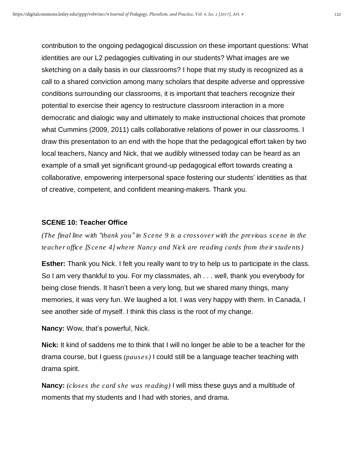contribution to the ongoing pedagogical discussion on these important questions: What identities are our L2 pedagogies cultivating in our students? What images are we sketching on a daily basis in our classrooms? I hope that my study is recognized as a call to a shared conviction among many scholars that despite adverse and oppressive conditions surrounding our classrooms, it is important that teachers recognize their potential to exercise their agency to restructure classroom interaction in a more democratic and dialogic way and ultimately to make instructional choices that promote what Cummins (2009, 2011) calls collaborative relations of power in our classrooms. I draw this presentation to an end with the hope that the pedagogical effort taken by two local teachers, Nancy and Nick, that we audibly witnessed today can be heard as an example of a small yet significant ground-up pedagogical effort towards creating a collaborative, empowering interpersonal space fostering our students' identities as that of creative, competent, and confident meaning-makers. Thank you.

#### **SCENE 10: Teacher Office**

*(The final line with "thank you" in Scene 9 is a crossover with the previous scene in the teacher office [Scene 4] where Nancy and Nick are reading cards from their students)*

**Esther:** Thank you Nick. I felt you really want to try to help us to participate in the class. So I am very thankful to you. For my classmates, ah . . . well, thank you everybody for being close friends. It hasn't been a very long, but we shared many things, many memories, it was very fun. We laughed a lot. I was very happy with them. In Canada, I see another side of myself. I think this class is the root of my change.

**Nancy:** Wow, that's powerful, Nick.

**Nick:** It kind of saddens me to think that I will no longer be able to be a teacher for the drama course, but I guess *(pauses)* I could still be a language teacher teaching with drama spirit.

**Nancy:** *(closes the card she was reading)* I will miss these guys and a multitude of moments that my students and I had with stories, and drama.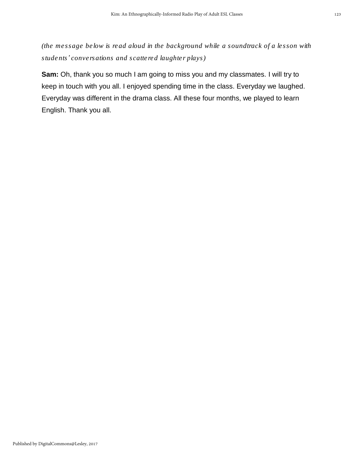*(the message below is read aloud in the background while a soundtrack of a lesson with students' conversations and scattered laughter plays)*

**Sam:** Oh, thank you so much I am going to miss you and my classmates. I will try to keep in touch with you all. I enjoyed spending time in the class. Everyday we laughed. Everyday was different in the drama class. All these four months, we played to learn English. Thank you all.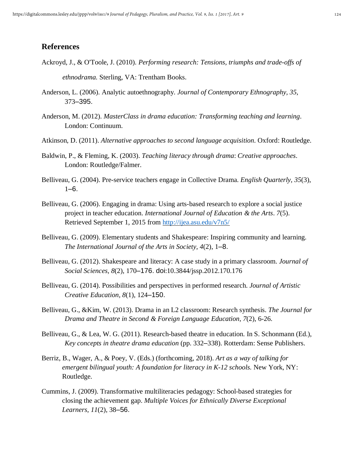### **References**

Ackroyd, J., & O'Toole, J. (2010). *Performing research: Tensions, triumphs and trade-offs of*

*ethnodrama.* Sterling, VA: Trentham Books.

- Anderson, L. (2006). Analytic autoethnography*. Journal of Contemporary Ethnography, 35*, 373–395.
- Anderson, M. (2012). *MasterClass in drama education: Transforming teaching and learning*. London: Continuum.
- Atkinson, D. (2011). *Alternative approaches to second language acquisition*. Oxford: Routledge.
- Baldwin, P., & Fleming, K. (2003). *Teaching literacy through drama*: *Creative approaches*. London: Routledge/Falmer.
- Belliveau, G. (2004). Pre-service teachers engage in Collective Drama. *English Quarterly, 35*(3),  $1-6.$
- Belliveau, G. (2006). Engaging in drama: Using arts-based research to explore a social justice project in teacher education. *International Journal of Education & the Arts*. *7*(5). Retrieved September 1, 2015 from <http://ijea.asu.edu/v7n5/>
- Belliveau, G. (2009). Elementary students and Shakespeare: Inspiring community and learning. *The International Journal of the Arts in Society, 4*(2), 1–8.
- Belliveau, G. (2012). Shakespeare and literacy: A case study in a primary classroom. *Journal of Social Sciences, 8*(2), 170–176. doi:10.3844/jssp.2012.170.176
- Belliveau, G. (2014). Possibilities and perspectives in performed research. *Journal of Artistic Creative Education, 8*(1), 124–150.
- Belliveau, G., &Kim, W. (2013). Drama in an L2 classroom: Research synthesis. *The Journal for Drama and Theatre in Second & Foreign Language Education, 7*(2), 6-26.
- Belliveau, G., & Lea, W. G. (2011). Research-based theatre in education. In S. Schonmann (Ed.), *Key concepts in theatre drama education* (pp. 332–338). Rotterdam: Sense Publishers.
- Berriz, B., Wager, A., & Poey, V. (Eds.) (forthcoming, 2018). *Art as a way of talking for emergent bilingual youth: A foundation for literacy in K-12 schools.* New York, NY: Routledge.
- Cummins, J. (2009). Transformative multiliteracies pedagogy: School-based strategies for closing the achievement gap. *Multiple Voices for Ethnically Diverse Exceptional Learners, 11*(2), 38–56.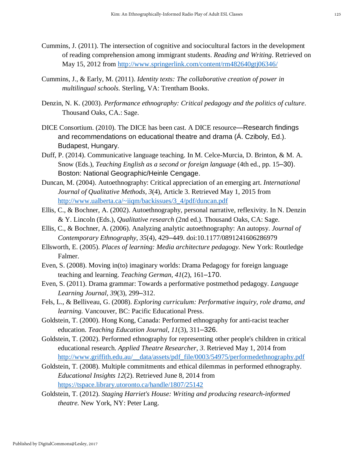- Cummins, J. (2011). The intersection of cognitive and sociocultural factors in the development of reading comprehension among immigrant students. *Reading and Writing*. Retrieved on May 15, 2012 from <http://www.springerlink.com/content/rm482640gtj06346/>
- Cummins, J., & Early, M. (2011). *Identity texts: The collaborative creation of power in multilingual schools.* Sterling, VA: Trentham Books.
- Denzin, N. K. (2003). *Performance ethnography: Critical pedagogy and the politics of culture*. Thousand Oaks, CA.: Sage.
- DICE Consortium. (2010). The DICE has been cast. A DICE resource—Research findings and recommendations on educational theatre and drama (Á. Cziboly, Ed.). Budapest, Hungary.
- Duff, P. (2014). Communicative language teaching. In M. Celce-Murcia, D. Brinton, & M. A. Snow (Eds.), *Teaching English as a second or foreign language* (4th ed., pp. 15–30). Boston: National Geographic/Heinle Cengage.
- Duncan, M. (2004). Autoethnography: Critical appreciation of an emerging art. *International Journal of Qualitative Methods, 3*(4), Article 3. Retrieved May 1, 2015 from [http://www.ualberta.ca/~iiqm/backissues/3\\_4/pdf/duncan.pdf](http://www.ualberta.ca/~iiqm/backissues/3_4/pdf/duncan.pdf%2520)
- Ellis, C., & Bochner, A. (2002). Autoethnography, personal narrative, reflexivity. In N. Denzin & Y. Lincoln (Eds.), *Qualitative research* (2nd ed.). Thousand Oaks, CA: Sage.
- Ellis, C., & Bochner, A. (2006). Analyzing analytic autoethnography: An autopsy. *Journal of Contemporary Ethnography, 35*(4), 429–449. doi:10.1177/0891241606286979
- Ellsworth, E. (2005). *Places of learning: Media architecture pedagogy.* New York: Routledge Falmer.
- Even, S. (2008). Moving in(to) imaginary worlds: Drama Pedagogy for foreign language teaching and learning. *Teaching German, 41*(2), 161–170.
- Even, S. (2011). Drama grammar: Towards a performative postmethod pedagogy. *Language Learning Journal, 39*(3), 299–312.
- Fels, L., & Belliveau, G. (2008). *Exploring curriculum: Performative inquiry, role drama*, *and learning.* Vancouver, BC: Pacific Educational Press.
- Goldstein, T. (2000). Hong Kong, Canada: Performed ethnography for anti-racist teacher education. *Teaching Education Journal, 11*(3), 311–326.
- Goldstein, T. (2002). Performed ethnography for representing other people's children in critical educational research. *Applied Theatre Researcher, 3*. Retrieved May 1, 2014 from [http://www.griffith.edu.au/\\_\\_data/assets/pdf\\_file/0003/54975/performedethnography.pdf](http://www.griffith.edu.au/__data/assets/pdf_file/0003/54975/performedethnography.pdf)
- Goldstein, T. (2008). Multiple commitments and ethical dilemmas in performed ethnography. *Educational Insights 12*(2). Retrieved June 8, 2014 from <https://tspace.library.utoronto.ca/handle/1807/25142>
- Goldstein, T. (2012). *Staging Harriet's House: Writing and producing research-informed theatre.* New York, NY: Peter Lang.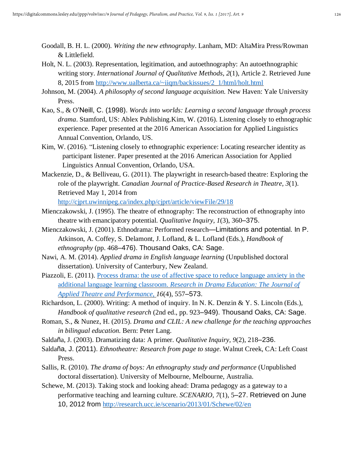- Goodall, B. H. L. (2000). *Writing the new ethnography*. Lanham, MD: AltaMira Press/Rowman & Littlefield.
- Holt, N. L. (2003). Representation, legitimation, and autoethnography: An autoethnographic writing story. *International Journal of Qualitative Methods, 2*(1), Article 2. Retrieved June 8, 2015 from [http://www.ualberta.ca/~iiqm/backissues/2\\_1/html/holt.html](http://www.ualberta.ca/~iiqm/backissues/2_1/html/holt.html%2520)
- Johnson, M. (2004). *A philosophy of second language acquisition.* New Haven: Yale University Press.
- Kao, S., & O'Neill, C. (1998). *Words into worlds: Learning a second language through process drama*. Stamford, US: Ablex Publishing.Kim, W. (2016). Listening closely to ethnographic experience. Paper presented at the 2016 American Association for Applied Linguistics Annual Convention, Orlando, US.
- Kim, W. (2016). "Listening closely to ethnographic experience: Locating researcher identity as participant listener. Paper presented at the 2016 American Association for Applied Linguistics Annual Convention, Orlando, USA.
- Mackenzie, D., & Belliveau, G. (2011). The playwright in research-based theatre: Exploring the role of the playwright. *Canadian Journal of Practice-Based Research in Theatre, 3*(1). Retrieved May 1, 2014 from [http://cjprt.uwinnipeg.ca/index.php/cjprt/article/viewFile/29/18](http://cjprt.uwinnipeg.ca/index.php/cjprt/article/viewFile/29/18%2520)
- Mienczakowski, J. (1995). The theatre of ethnography: The reconstruction of ethnography into theatre with emancipatory potential. *Qualitative Inquiry, 1*(3), 360–375.
- Mienczakowski, J. (2001). Ethnodrama: Performed research—Limitations and potential. In P. Atkinson, A. Coffey, S. Delamont, J. Lofland, & L. Lofland (Eds.), *Handbook of ethnography* (pp. 468–476). Thousand Oaks, CA: Sage.
- Nawi, A. M. (2014). *Applied drama in English language learning* (Unpublished doctoral dissertation). University of Canterbury, New Zealand.
- Piazzoli, E. (2011). Process drama: the use of affective space to reduce [language](http://www.tandfonline.com/doi/abs/10.1080/13569783.2011.617104) anxiety in the additional language learning [classroom.](http://www.tandfonline.com/doi/abs/10.1080/13569783.2011.617104) *Research in Drama [Education:](http://www.tandfonline.com/toc/crde20/16/4) The Journal of Applied Theatre and [Performance,](http://www.tandfonline.com/toc/crde20/16/4) 16*(4), 557–573.
- Richardson, L. (2000). Writing: A method of inquiry. In N. K. Denzin & Y. S. Lincoln (Eds.), *Handbook of qualitative research* (2nd ed., pp. 923–949). Thousand Oaks, CA: Sage.
- Roman, S., & Nunez, H. (2015). *Drama and CLIL: A new challenge for the teaching approaches in bilingual education.* Bern: Peter Lang.
- Saldaña, J. (2003). Dramatizing data: A primer. *Qualitative Inquiry, 9*(2), 218–236.
- Saldaña, J. (2011). *Ethnotheatre: Research from page to stage*. Walnut Creek, CA: Left Coast Press.
- Sallis, R. (2010). *The drama of boys: An ethnography study and performance* (Unpublished doctoral dissertation). University of Melbourne, Melbourne, Australia.
- Schewe, M. (2013). Taking stock and looking ahead: Drama pedagogy as a gateway to a performative teaching and learning culture. *SCENARIO, 7*(1), 5–27. Retrieved on June 10, 2012 from <http://research.ucc.ie/scenario/2013/01/Schewe/02/en>